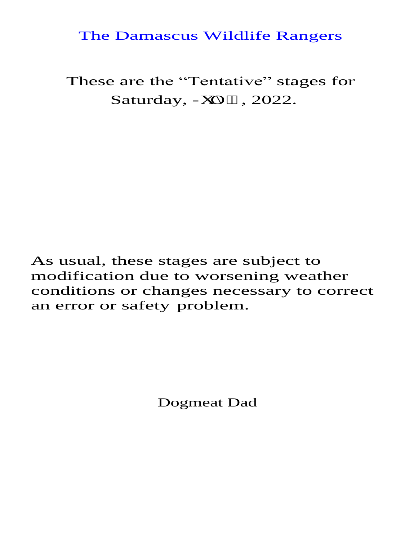### The Damascus Wildlife Rangers

These are the "Tentative" stages for Saturday, Lwn "; , 2022.

As usual, these stages are subject to modification due to worsening weather conditions or changes necessary to correct an error or safety problem.

Dogmeat Dad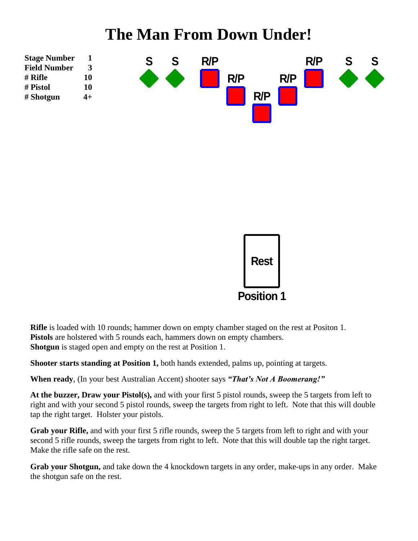# **The Man From Down Under!**





**Rifle** is loaded with 10 rounds; hammer down on empty chamber staged on the rest at Positon 1. Pistols are holstered with 5 rounds each, hammers down on empty chambers. **Shotgun** is staged open and empty on the rest at Position 1.

**Shooter starts standing at Position 1,** both hands extended, palms up, pointing at targets.

**When ready**, (In your best Australian Accent) shooter says *"That's Not A Boomerang!"*

**At the buzzer, Draw your Pistol(s),** and with your first 5 pistol rounds, sweep the 5 targets from left to right and with your second 5 pistol rounds, sweep the targets from right to left. Note that this will double tap the right target. Holster your pistols.

**Grab your Rifle,** and with your first 5 rifle rounds, sweep the 5 targets from left to right and with your second 5 rifle rounds, sweep the targets from right to left. Note that this will double tap the right target. Make the rifle safe on the rest.

**Grab your Shotgun,** and take down the 4 knockdown targets in any order, make-ups in any order. Make the shotgun safe on the rest.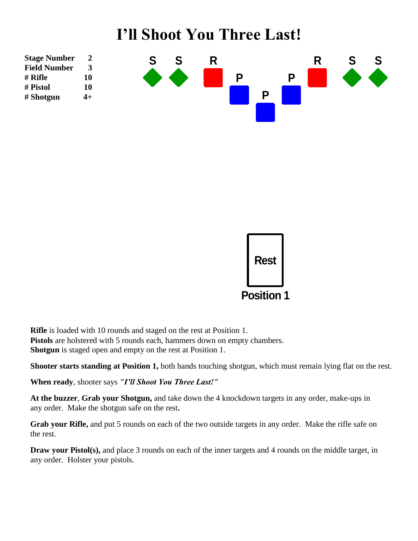## **I'll Shoot You Three Last!**





**Rifle** is loaded with 10 rounds and staged on the rest at Position 1. Pistols are holstered with 5 rounds each, hammers down on empty chambers. **Shotgun** is staged open and empty on the rest at Position 1.

**Shooter starts standing at Position 1,** both hands touching shotgun, which must remain lying flat on the rest.

**When ready**, shooter says *"I'll Shoot You Three Last!"*

**At the buzzer**, **Grab your Shotgun,** and take down the 4 knockdown targets in any order, make-ups in any order. Make the shotgun safe on the rest**.**

**Grab your Rifle,** and put 5 rounds on each of the two outside targets in any order. Make the rifle safe on the rest.

**Draw your Pistol(s),** and place 3 rounds on each of the inner targets and 4 rounds on the middle target, in any order. Holster your pistols.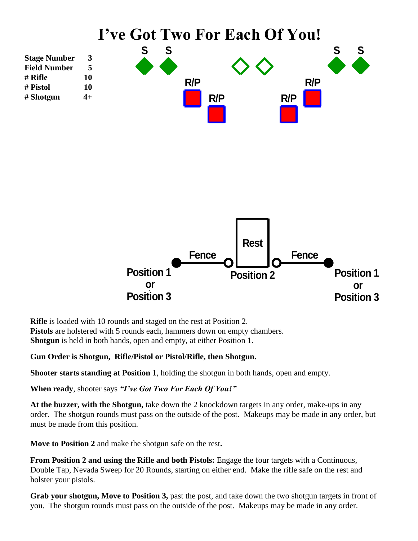

**Rifle** is loaded with 10 rounds and staged on the rest at Position 2. **Pistols** are holstered with 5 rounds each, hammers down on empty chambers. **Shotgun** is held in both hands, open and empty, at either Position 1.

#### **Gun Order is Shotgun, Rifle/Pistol or Pistol/Rifle, then Shotgun.**

**Shooter starts standing at Position 1**, holding the shotgun in both hands, open and empty.

**When ready**, shooter says *"I've Got Two For Each Of You!"*

**At the buzzer, with the Shotgun,** take down the 2 knockdown targets in any order, make-ups in any order. The shotgun rounds must pass on the outside of the post. Makeups may be made in any order, but must be made from this position.

**Move to Position 2** and make the shotgun safe on the rest**.**

**From Position 2 and using the Rifle and both Pistols:** Engage the four targets with a Continuous, Double Tap, Nevada Sweep for 20 Rounds, starting on either end. Make the rifle safe on the rest and holster your pistols.

**Grab your shotgun, Move to Position 3,** past the post, and take down the two shotgun targets in front of you. The shotgun rounds must pass on the outside of the post. Makeups may be made in any order.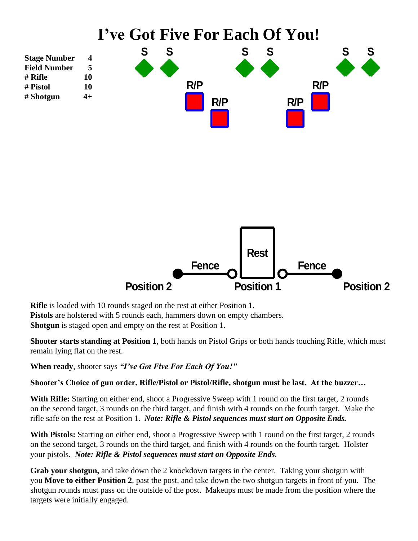

**Rifle** is loaded with 10 rounds staged on the rest at either Position 1. Pistols are holstered with 5 rounds each, hammers down on empty chambers. **Shotgun** is staged open and empty on the rest at Position 1.

**Shooter starts standing at Position 1**, both hands on Pistol Grips or both hands touching Rifle, which must remain lying flat on the rest.

**When ready**, shooter says *"I've Got Five For Each Of You!"*

**Shooter's Choice of gun order, Rifle/Pistol or Pistol/Rifle, shotgun must be last. At the buzzer…**

With Rifle: Starting on either end, shoot a Progressive Sweep with 1 round on the first target, 2 rounds on the second target, 3 rounds on the third target, and finish with 4 rounds on the fourth target. Make the rifle safe on the rest at Position 1. *Note: Rifle & Pistol sequences must start on Opposite Ends.*

**With Pistols:** Starting on either end, shoot a Progressive Sweep with 1 round on the first target, 2 rounds on the second target, 3 rounds on the third target, and finish with 4 rounds on the fourth target. Holster your pistols. *Note: Rifle & Pistol sequences must start on Opposite Ends.*

**Grab your shotgun,** and take down the 2 knockdown targets in the center. Taking your shotgun with you **Move to either Position 2**, past the post, and take down the two shotgun targets in front of you. The shotgun rounds must pass on the outside of the post. Makeups must be made from the position where the targets were initially engaged.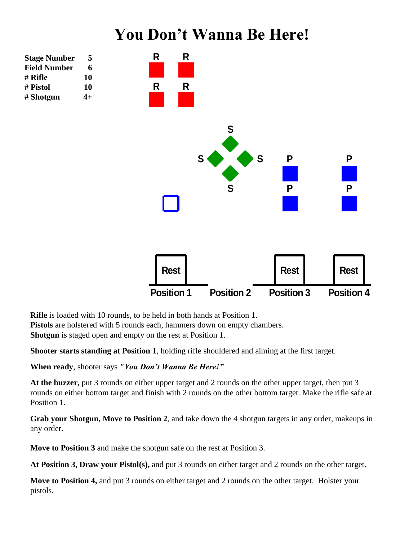### **You Don't Wanna Be Here!**



**Rifle** is loaded with 10 rounds, to be held in both hands at Position 1. **Pistols** are holstered with 5 rounds each, hammers down on empty chambers. **Shotgun** is staged open and empty on the rest at Position 1.

**Shooter starts standing at Position 1**, holding rifle shouldered and aiming at the first target.

**When ready**, shooter says *"You Don't Wanna Be Here!"*

**At the buzzer,** put 3 rounds on either upper target and 2 rounds on the other upper target, then put 3 rounds on either bottom target and finish with 2 rounds on the other bottom target. Make the rifle safe at Position 1.

**Grab your Shotgun, Move to Position 2**, and take down the 4 shotgun targets in any order, makeups in any order.

**Move to Position 3** and make the shotgun safe on the rest at Position 3.

**At Position 3, Draw your Pistol(s),** and put 3 rounds on either target and 2 rounds on the other target.

**Move to Position 4,** and put 3 rounds on either target and 2 rounds on the other target. Holster your pistols.